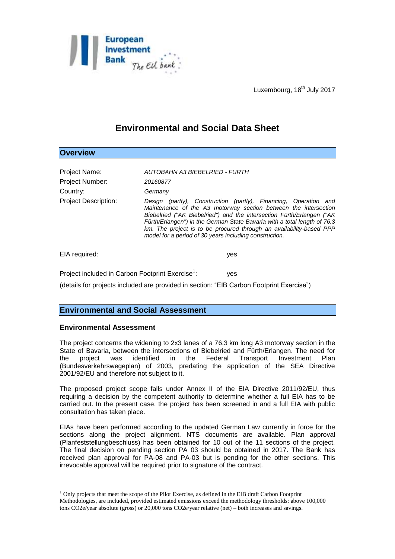

Luxembourg, 18<sup>th</sup> July 2017

# **Environmental and Social Data Sheet**

| <b>Overview</b>                                                                          |                                                                                                                                                                                                                                                                                                                                                                                                                           |
|------------------------------------------------------------------------------------------|---------------------------------------------------------------------------------------------------------------------------------------------------------------------------------------------------------------------------------------------------------------------------------------------------------------------------------------------------------------------------------------------------------------------------|
| Project Name:                                                                            | AUTOBAHN A3 BIEBELRIED - FURTH                                                                                                                                                                                                                                                                                                                                                                                            |
| Project Number:                                                                          | 20160877                                                                                                                                                                                                                                                                                                                                                                                                                  |
| Country:                                                                                 | Germany                                                                                                                                                                                                                                                                                                                                                                                                                   |
| <b>Project Description:</b>                                                              | Design (partly), Construction (partly), Financing, Operation and<br>Maintenance of the A3 motorway section between the intersection<br>Biebelried ("AK Biebelried") and the intersection Fürth/Erlangen ("AK<br>Fürth/Erlangen") in the German State Bavaria with a total length of 76.3<br>km. The project is to be procured through an availability-based PPP<br>model for a period of 30 years including construction. |
| EIA required:                                                                            | yes                                                                                                                                                                                                                                                                                                                                                                                                                       |
| Project included in Carbon Footprint Exercise <sup>1</sup> :                             | yes                                                                                                                                                                                                                                                                                                                                                                                                                       |
| (details for projects included are provided in section: "EIB Carbon Footprint Exercise") |                                                                                                                                                                                                                                                                                                                                                                                                                           |

## **Environmental and Social Assessment**

#### **Environmental Assessment**

1

The project concerns the widening to 2x3 lanes of a 76.3 km long A3 motorway section in the State of Bavaria, between the intersections of Biebelried and Fürth/Erlangen. The need for the project was identified in the Federal Transport Investment Plan (Bundesverkehrswegeplan) of 2003, predating the application of the SEA Directive 2001/92/EU and therefore not subject to it.

The proposed project scope falls under Annex II of the EIA Directive 2011/92/EU, thus requiring a decision by the competent authority to determine whether a full EIA has to be carried out. In the present case, the project has been screened in and a full EIA with public consultation has taken place.

EIAs have been performed according to the updated German Law currently in force for the sections along the project alignment. NTS documents are available. Plan approval (Planfeststellungbeschluss) has been obtained for 10 out of the 11 sections of the project. The final decision on pending section PA 03 should be obtained in 2017. The Bank has received plan approval for PA-08 and PA-03 but is pending for the other sections. This irrevocable approval will be required prior to signature of the contract.

 $<sup>1</sup>$  Only projects that meet the scope of the Pilot Exercise, as defined in the EIB draft Carbon Footprint</sup> Methodologies, are included, provided estimated emissions exceed the methodology thresholds: above 100,000 tons CO2e/year absolute (gross) or 20,000 tons CO2e/year relative (net) – both increases and savings.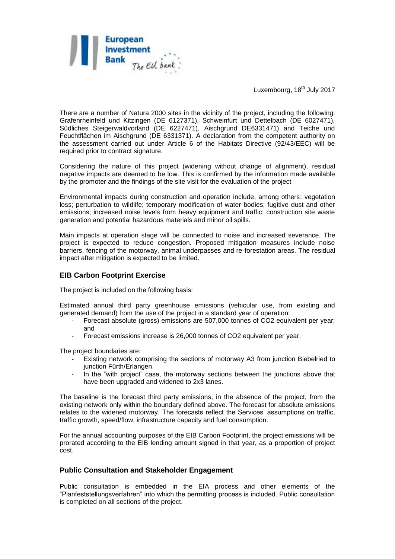

Luxembourg, 18<sup>th</sup> July 2017

There are a number of Natura 2000 sites in the vicinity of the project, including the following: Grafenrheinfeld und Kitzingen (DE 6127371), Schweinfurt und Dettelbach (DE 6027471), Südliches Steigerwaldvorland (DE 6227471), Aischgrund DE6331471) and Teiche und Feuchtflächen im Aischgrund (DE 6331371). A declaration from the competent authority on the assessment carried out under Article 6 of the Habitats Directive (92/43/EEC) will be required prior to contract signature.

Considering the nature of this project (widening without change of alignment), residual negative impacts are deemed to be low. This is confirmed by the information made available by the promoter and the findings of the site visit for the evaluation of the project

Environmental impacts during construction and operation include, among others: vegetation loss; perturbation to wildlife; temporary modification of water bodies; fugitive dust and other emissions; increased noise levels from heavy equipment and traffic; construction site waste generation and potential hazardous materials and minor oil spills.

Main impacts at operation stage will be connected to noise and increased severance. The project is expected to reduce congestion. Proposed mitigation measures include noise barriers, fencing of the motorway, animal underpasses and re-forestation areas. The residual impact after mitigation is expected to be limited.

## **EIB Carbon Footprint Exercise**

The project is included on the following basis:

Estimated annual third party greenhouse emissions (vehicular use, from existing and generated demand) from the use of the project in a standard year of operation:

- Forecast absolute (gross) emissions are 507,000 tonnes of CO2 equivalent per year; and
- Forecast emissions increase is 26,000 tonnes of CO2 equivalent per year.

The project boundaries are:

- Existing network comprising the sections of motorway A3 from junction Biebelried to junction Fürth/Erlangen.
- In the "with project" case, the motorway sections between the junctions above that have been upgraded and widened to 2x3 lanes.

The baseline is the forecast third party emissions, in the absence of the project, from the existing network only within the boundary defined above. The forecast for absolute emissions relates to the widened motorway. The forecasts reflect the Services' assumptions on traffic, traffic growth, speed/flow, infrastructure capacity and fuel consumption.

For the annual accounting purposes of the EIB Carbon Footprint, the project emissions will be prorated according to the EIB lending amount signed in that year, as a proportion of project cost.

#### **Public Consultation and Stakeholder Engagement**

Public consultation is embedded in the EIA process and other elements of the "Planfeststellungsverfahren" into which the permitting process is included. Public consultation is completed on all sections of the project.